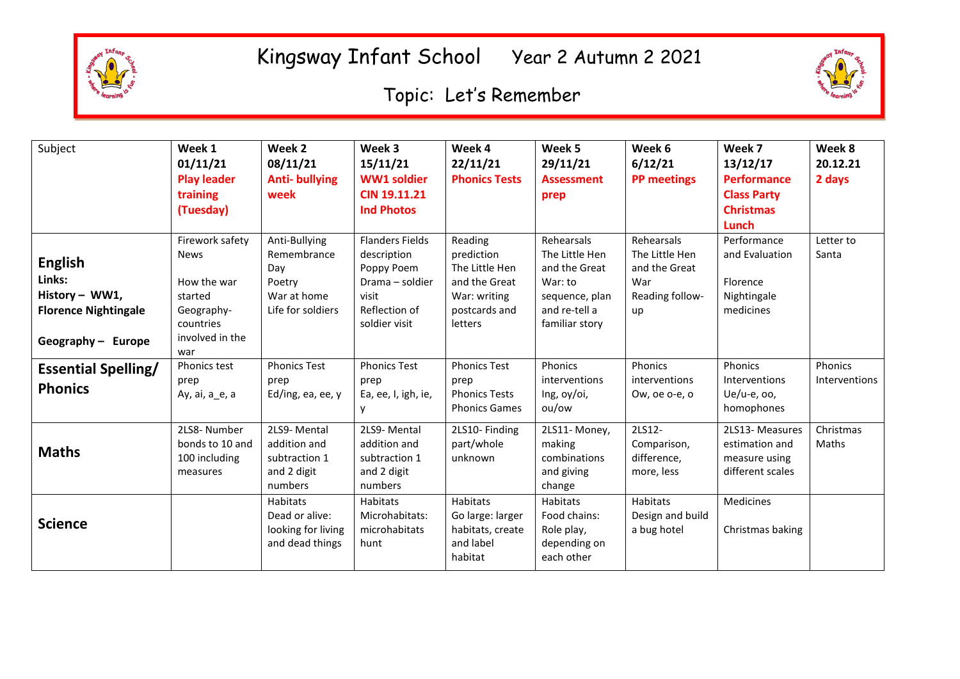

## Kingsway Infant School Year 2 Autumn 2 2021

## Topic: Let's Remember



| Subject                     | Week 1             | Week 2               | Week 3                 | Week 4               | Week 5            | Week 6             | Week 7             | Week 8        |
|-----------------------------|--------------------|----------------------|------------------------|----------------------|-------------------|--------------------|--------------------|---------------|
|                             | 01/11/21           | 08/11/21             | 15/11/21               | 22/11/21             | 29/11/21          | 6/12/21            | 13/12/17           | 20.12.21      |
|                             | <b>Play leader</b> | <b>Anti-bullying</b> | <b>WW1 soldier</b>     | <b>Phonics Tests</b> | <b>Assessment</b> | <b>PP</b> meetings | <b>Performance</b> | 2 days        |
|                             | training           | week                 | <b>CIN 19.11.21</b>    |                      | prep              |                    | <b>Class Party</b> |               |
|                             | (Tuesday)          |                      | <b>Ind Photos</b>      |                      |                   |                    | <b>Christmas</b>   |               |
|                             |                    |                      |                        |                      |                   |                    | Lunch              |               |
|                             | Firework safety    | Anti-Bullying        | <b>Flanders Fields</b> | Reading              | Rehearsals        | Rehearsals         | Performance        | Letter to     |
| <b>English</b>              | <b>News</b>        | Remembrance          | description            | prediction           | The Little Hen    | The Little Hen     | and Evaluation     | Santa         |
|                             |                    | Day                  | Poppy Poem             | The Little Hen       | and the Great     | and the Great      |                    |               |
| Links:                      | How the war        | Poetry               | Drama - soldier        | and the Great        | War: to           | War                | Florence           |               |
| History - WW1,              | started            | War at home          | visit                  | War: writing         | sequence, plan    | Reading follow-    | Nightingale        |               |
| <b>Florence Nightingale</b> | Geography-         | Life for soldiers    | Reflection of          | postcards and        | and re-tell a     | up                 | medicines          |               |
|                             | countries          |                      | soldier visit          | letters              | familiar story    |                    |                    |               |
| Geography - Europe          | involved in the    |                      |                        |                      |                   |                    |                    |               |
|                             | war                |                      |                        |                      |                   |                    |                    |               |
| <b>Essential Spelling/</b>  | Phonics test       | <b>Phonics Test</b>  | <b>Phonics Test</b>    | <b>Phonics Test</b>  | Phonics           | <b>Phonics</b>     | Phonics            | Phonics       |
| <b>Phonics</b>              | prep               | prep                 | prep                   | prep                 | interventions     | interventions      | Interventions      | Interventions |
|                             | Ay, ai, a_e, a     | Ed/ing, ea, ee, $y$  | Ea, ee, I, igh, ie,    | <b>Phonics Tests</b> | Ing, oy/oi,       | Ow, oe o-e, o      | $Ue/u-e$ , oo,     |               |
|                             |                    |                      |                        | <b>Phonics Games</b> | ou/ow             |                    | homophones         |               |
|                             | 2LS8-Number        | 2LS9-Mental          | 2LS9-Mental            | 2LS10-Finding        | 2LS11-Money,      | 2LS12-             | 2LS13-Measures     | Christmas     |
| <b>Maths</b>                | bonds to 10 and    | addition and         | addition and           | part/whole           | making            | Comparison,        | estimation and     | Maths         |
|                             | 100 including      | subtraction 1        | subtraction 1          | unknown              | combinations      | difference,        | measure using      |               |
|                             | measures           | and 2 digit          | and 2 digit            |                      | and giving        | more, less         | different scales   |               |
|                             |                    | numbers              | numbers                |                      | change            |                    |                    |               |
|                             |                    | <b>Habitats</b>      | <b>Habitats</b>        | Habitats             | Habitats          | <b>Habitats</b>    | Medicines          |               |
| <b>Science</b>              |                    | Dead or alive:       | Microhabitats:         | Go large: larger     | Food chains:      | Design and build   |                    |               |
|                             |                    | looking for living   | microhabitats          | habitats, create     | Role play,        | a bug hotel        | Christmas baking   |               |
|                             |                    | and dead things      | hunt                   | and label            | depending on      |                    |                    |               |
|                             |                    |                      |                        | habitat              | each other        |                    |                    |               |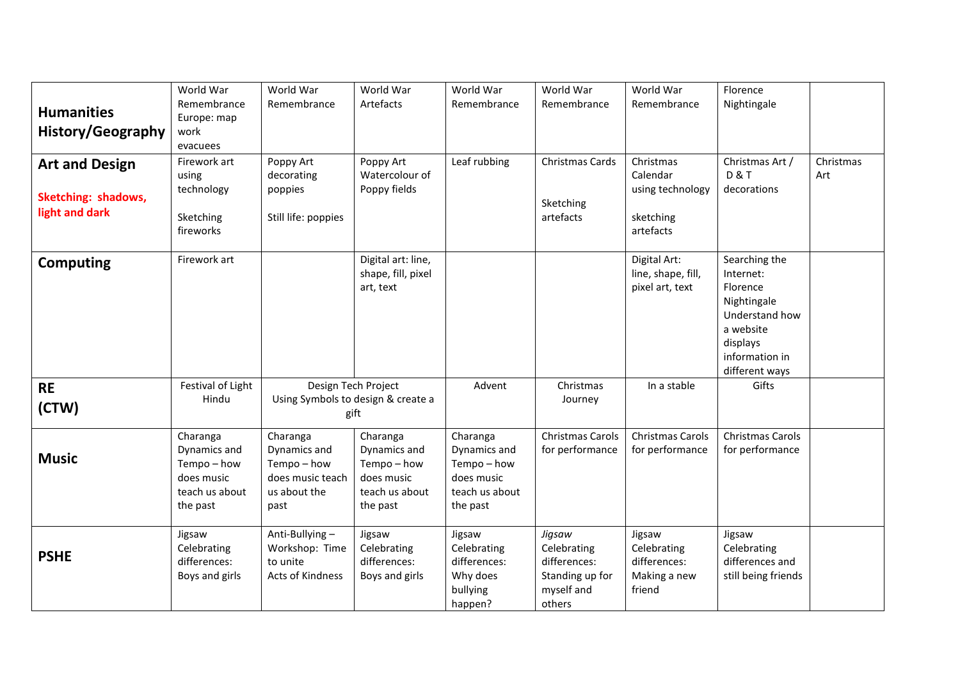| <b>Humanities</b><br>History/Geography                         | World War<br>Remembrance<br>Europe: map<br>work<br>evacuees                       | World War<br>Remembrance                                                            | World War<br>Artefacts                                                            | World War<br>Remembrance                                                          | World War<br>Remembrance                                                         | World War<br>Remembrance                                            | Florence<br>Nightingale                                                                                                              |                  |
|----------------------------------------------------------------|-----------------------------------------------------------------------------------|-------------------------------------------------------------------------------------|-----------------------------------------------------------------------------------|-----------------------------------------------------------------------------------|----------------------------------------------------------------------------------|---------------------------------------------------------------------|--------------------------------------------------------------------------------------------------------------------------------------|------------------|
| <b>Art and Design</b><br>Sketching: shadows,<br>light and dark | Firework art<br>using<br>technology<br>Sketching<br>fireworks                     | Poppy Art<br>decorating<br>poppies<br>Still life: poppies                           | Poppy Art<br>Watercolour of<br>Poppy fields                                       | Leaf rubbing                                                                      | Christmas Cards<br>Sketching<br>artefacts                                        | Christmas<br>Calendar<br>using technology<br>sketching<br>artefacts | Christmas Art /<br><b>D&amp;T</b><br>decorations                                                                                     | Christmas<br>Art |
| <b>Computing</b>                                               | Firework art                                                                      |                                                                                     | Digital art: line,<br>shape, fill, pixel<br>art, text                             |                                                                                   |                                                                                  | Digital Art:<br>line, shape, fill,<br>pixel art, text               | Searching the<br>Internet:<br>Florence<br>Nightingale<br>Understand how<br>a website<br>displays<br>information in<br>different ways |                  |
| <b>RE</b><br>(CTW)                                             | Festival of Light<br>Hindu                                                        | Design Tech Project<br>Using Symbols to design & create a<br>gift                   |                                                                                   | Advent                                                                            | Christmas<br>Journey                                                             | In a stable                                                         | Gifts                                                                                                                                |                  |
| <b>Music</b>                                                   | Charanga<br>Dynamics and<br>Tempo-how<br>does music<br>teach us about<br>the past | Charanga<br>Dynamics and<br>Tempo - how<br>does music teach<br>us about the<br>past | Charanga<br>Dynamics and<br>Tempo-how<br>does music<br>teach us about<br>the past | Charanga<br>Dynamics and<br>Tempo-how<br>does music<br>teach us about<br>the past | Christmas Carols<br>for performance                                              | Christmas Carols<br>for performance                                 | Christmas Carols<br>for performance                                                                                                  |                  |
| <b>PSHE</b>                                                    | Jigsaw<br>Celebrating<br>differences:<br>Boys and girls                           | Anti-Bullying-<br>Workshop: Time<br>to unite<br>Acts of Kindness                    | Jigsaw<br>Celebrating<br>differences:<br>Boys and girls                           | Jigsaw<br>Celebrating<br>differences:<br>Why does<br>bullying<br>happen?          | Jigsaw<br>Celebrating<br>differences:<br>Standing up for<br>myself and<br>others | Jigsaw<br>Celebrating<br>differences:<br>Making a new<br>friend     | Jigsaw<br>Celebrating<br>differences and<br>still being friends                                                                      |                  |